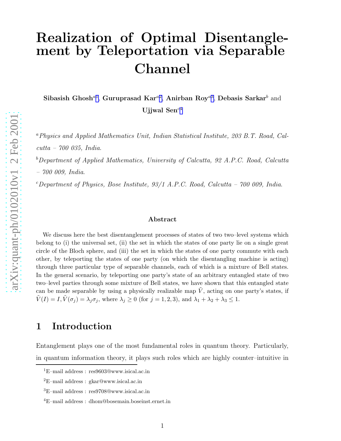# Realization of Optimal Disentanglement by Teleportation via Separable Channel

Sibasish Ghosh<sup>a1</sup>, Guruprasad Kar<sup>a2</sup>, Anirban Roy<sup>a3</sup>, Debasis Sarkar<sup>b</sup> and Ujjwal  $\text{Sen}^{c4}$ 

<sup>a</sup>*Physics and Applied Mathematics Unit, Indian Statistical Institute, 203 B.T. Road, Calcutta – 700 035, India*.

<sup>b</sup>*Department of Applied Mathematics, University of Calcutta, 92 A.P.C. Road, Calcutta – 700 009, India*.

<sup>c</sup>*Department of Physics, Bose Institute, 93/1 A.P.C. Road, Calcutta – 700 009, India*.

#### Abstract

We discuss here the best disentanglement processes of states of two two–level systems which belong to (i) the universal set, (ii) the set in which the states of one party lie on a single great circle of the Bloch sphere, and (iii) the set in which the states of one party commute with each other, by teleporting the states of one party (on which the disentangling machine is acting) through three particular type of separable channels, each of which is a mixture of Bell states. In the general scenario, by teleporting one party's state of an arbitrary entangled state of two two–level parties through some mixture of Bell states, we have shown that this entangled state can be made separable by using a physically realizable map  $\tilde{V}$ , acting on one party's states, if  $\tilde{V}(I) = I, \tilde{V}(\sigma_j) = \lambda_j \sigma_j$ , where  $\lambda_j \ge 0$  (for  $j = 1, 2, 3$ ), and  $\lambda_1 + \lambda_2 + \lambda_3 \le 1$ .

## 1 Introduction

Entanglement plays one of the most fundamental roles in quantum theory. Particularly, in quantum information theory, it plays such roles which are highly counter–intuitive in

<sup>&</sup>lt;sup>1</sup>E–mail address : res9603@www.isical.ac.in

 ${}^{2}E$ –mail address : gkar@www.isical.ac.in

<sup>3</sup>E–mail address : res9708@www.isical.ac.in

<sup>4</sup>E–mail address : dhom@bosemain.boseinst.ernet.in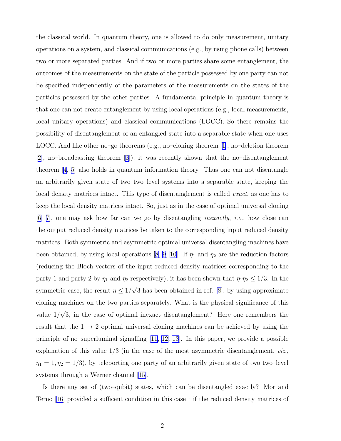the classical world. In quantum theory, one is allowed to do only measurement, unitary operations on a system, and classical communications (e.g., by using phone calls) between two or more separated parties. And if two or more parties share some entanglement, the outcomes of the measurements on the state of the particle possessed by one party can not be specified independently of the parameters of the measurements on the states of the particles possessed by the other parties. A fundamental principle in quantum theory is that one can not create entanglement by using local operations (e.g., local measurements, local unitary operations) and classical communications (LOCC). So there remains the possibility of disentanglement of an entangled state into a separable state when one uses LOCC. And like other no–go theorems (e.g., no–cloning theorem[[1\]](#page-17-0), no–deletion theorem [\[2\]](#page-17-0), no–broadcasting theorem [\[3](#page-17-0)]), it was recently shown that the no–disentanglement theorem [\[4, 5](#page-17-0)] also holds in quantum information theory. Thus one can not disentangle an arbitrarily given state of two two–level systems into a separable state, keeping the local density matrices intact. This type of disentanglement is called *exact*, as one has to keep the local density matrices intact. So, just as in the case of optimal universal cloning [\[6, 7](#page-17-0)], one may ask how far can we go by disentangling *inexactly*, *i.e.*, how close can the output reduced density matrices be taken to the corresponding input reduced density matrices. Both symmetric and asymmetric optimal universal disentangling machines have beenobtained, by using local operations [[8,](#page-17-0) [9, 10\]](#page-18-0). If  $\eta_1$  and  $\eta_2$  are the reduction factors (reducing the Bloch vectors of the input reduced density matrices corresponding to the party 1 and party 2 by  $\eta_1$  and  $\eta_2$  respectively), it has been shown that  $\eta_1\eta_2 \leq 1/3$ . In the symmetric case, the result  $\eta \leq 1/\sqrt{3}$  has been obtained in ref. [\[8](#page-17-0)], by using approximate cloning machines on the two parties separately. What is the physical significance of this value  $1/\sqrt{3}$ , in the case of optimal inexact disentanglement? Here one remembers the result that the  $1 \rightarrow 2$  optimal universal cloning machines can be achieved by using the principle of no–superluminal signalling [\[11, 12](#page-18-0), [13](#page-18-0)]. In this paper, we provide a possible explanation of this value 1/3 (in the case of the most asymmetric disentanglement, *viz*.,  $\eta_1 = 1, \eta_2 = 1/3$ , by teleporting one party of an arbitrarily given state of two two–level systems through a Werner channel[[15\]](#page-18-0).

Is there any set of (two–qubit) states, which can be disentangled exactly? Mor and Terno[[16](#page-18-0)] provided a sufficent condition in this case : if the reduced density matrices of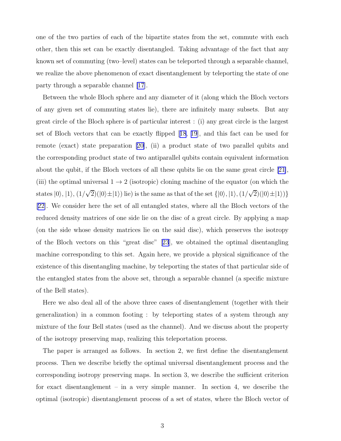one of the two parties of each of the bipartite states from the set, commute with each other, then this set can be exactly disentangled. Taking advantage of the fact that any known set of commuting (two–level) states can be teleported through a separable channel, we realize the above phenomenon of exact disentanglement by teleporting the state of one party through a separable channel [\[17\]](#page-18-0).

Between the whole Bloch sphere and any diameter of it (along which the Bloch vectors of any given set of commuting states lie), there are infinitely many subsets. But any great circle of the Bloch sphere is of particular interest : (i) any great circle is the largest set of Bloch vectors that can be exactly flipped[[18](#page-18-0), [19](#page-18-0)], and this fact can be used for remote (exact) state preparation [\[20\]](#page-18-0), (ii) a product state of two parallel qubits and the corresponding product state of two antiparallel qubits contain equivalent information about the qubit, if the Bloch vectors of all these qubits lie on the same great circle [\[21\]](#page-18-0), (iii) the optimal universal  $1 \rightarrow 2$  (isotropic) cloning machine of the equator (on which the states  $|0\rangle$ ,  $|1\rangle$ ,  $(1/\sqrt{2})(|0\rangle\pm|1\rangle)$  lie) is the same as that of the set  $\{|0\rangle, |1\rangle, (1/\sqrt{2})(|0\rangle\pm|1\rangle)\}$ [\[22\]](#page-18-0). We consider here the set of all entangled states, where all the Bloch vectors of the reduced density matrices of one side lie on the disc of a great circle. By applying a map (on the side whose density matrices lie on the said disc), which preserves the isotropy of the Bloch vectors on this "great disc"[[23](#page-18-0)], we obtained the optimal disentangling machine corresponding to this set. Again here, we provide a physical significance of the existence of this disentangling machine, by teleporting the states of that particular side of the entangled states from the above set, through a separable channel (a specific mixture of the Bell states).

Here we also deal all of the above three cases of disentanglement (together with their generalization) in a common footing : by teleporting states of a system through any mixture of the four Bell states (used as the channel). And we discuss about the property of the isotropy preserving map, realizing this teleportation process.

The paper is arranged as follows. In section 2, we first define the disentanglement process. Then we describe briefly the optimal universal disentanglement process and the corresponding isotropy preserving maps. In section 3, we describe the sufficient criterion for exact disentanglement – in a very simple manner. In section 4, we describe the optimal (isotropic) disentanglement process of a set of states, where the Bloch vector of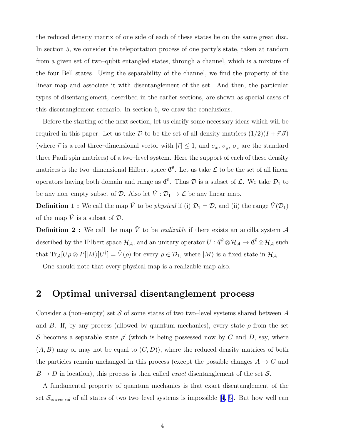the reduced density matrix of one side of each of these states lie on the same great disc. In section 5, we consider the teleportation process of one party's state, taken at random from a given set of two–qubit entangled states, through a channel, which is a mixture of the four Bell states. Using the separability of the channel, we find the property of the linear map and associate it with disentanglement of the set. And then, the particular types of disentanglement, described in the earlier sections, are shown as special cases of this disentanglement scenario. In section 6, we draw the conclusions.

Before the starting of the next section, let us clarify some necessary ideas which will be required in this paper. Let us take D to be the set of all density matrices  $(1/2)(I + \vec{r} \cdot \vec{\sigma})$ (where  $\vec{r}$  is a real three–dimensional vector with  $|\vec{r}| \leq 1$ , and  $\sigma_x$ ,  $\sigma_y$ ,  $\sigma_z$  are the standard three Pauli spin matrices) of a two–level system. Here the support of each of these density matrices is the two–dimensional Hilbert space  $\mathcal{C}^2$ . Let us take  $\mathcal L$  to be the set of all linear operators having both domain and range as  $\mathcal{C}^2$ . Thus  $\mathcal D$  is a subset of  $\mathcal L$ . We take  $\mathcal D_1$  to be any non–empty subset of  $\mathcal{D}$ . Also let  $\tilde{V} : \mathcal{D}_1 \to \mathcal{L}$  be any linear map.

**Definition 1 :** We call the map  $\tilde{V}$  to be *physical* if (i)  $\mathcal{D}_1 = \mathcal{D}$ , and (ii) the range  $\tilde{V}(\mathcal{D}_1)$ of the map  $\tilde{V}$  is a subset of  $\mathcal{D}$ .

**Definition 2 :** We call the map  $\tilde{V}$  to be *realizable* if there exists an ancilla system  $\mathcal{A}$ described by the Hilbert space  $\mathcal{H}_{\mathcal{A}}$ , and an unitary operator  $U: \mathbb{C}^2 \otimes \mathcal{H}_{\mathcal{A}} \to \mathbb{C}^2 \otimes \mathcal{H}_{\mathcal{A}}$  such that  $\text{Tr}_{\mathcal{A}}[U\rho \otimes P[|M\rangle]U^{\dagger}] = \tilde{V}(\rho)$  for every  $\rho \in \mathcal{D}_1$ , where  $|M\rangle$  is a fixed state in  $\mathcal{H}_{\mathcal{A}}$ .

One should note that every physical map is a realizable map also.

#### 2 Optimal universal disentanglement process

Consider a (non–empty) set S of some states of two two–level systems shared between A and B. If, by any process (allowed by quantum mechanics), every state  $\rho$  from the set S becomes a separable state  $\rho'$  (which is being possessed now by C and D, say, where  $(A, B)$  may or may not be equal to  $(C, D)$ , where the reduced density matrices of both the particles remain unchanged in this process (except the possible changes  $A \rightarrow C$  and  $B \to D$  in location), this process is then called *exact* disentanglement of the set S.

A fundamental property of quantum mechanics is that exact disentanglement of the set $\mathcal{S}_{universal}$  of all states of two two–level systems is impossible [[4](#page-17-0), [5\]](#page-17-0). But how well can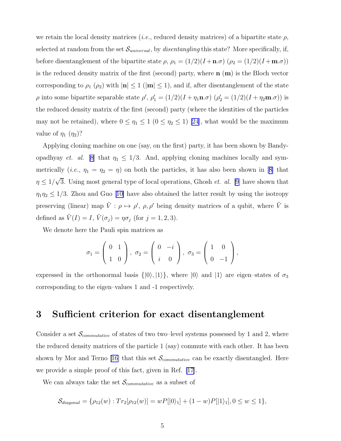we retain the local density matrices (*i.e.*, reduced density matrices) of a bipartite state  $\rho$ , selected at random from the set  $\mathcal{S}_{universal}$ , by *disentangling* this state? More specifically, if, before disentanglement of the bipartite state  $\rho$ ,  $\rho_1 = (1/2)(I + \mathbf{n}.\sigma) (\rho_2 = (1/2)(I + \mathbf{m}.\sigma))$ is the reduced density matrix of the first (second) party, where  $\mathbf{n}$  ( $\mathbf{m}$ ) is the Bloch vector corresponding to  $\rho_1$  ( $\rho_2$ ) with  $|\mathbf{n}| \leq 1$  ( $|\mathbf{m}| \leq 1$ ), and if, after disentanglement of the state  $\rho$  into some bipartite separable state  $\rho'$ ,  $\rho'_1 = (1/2)(I + \eta_1 \mathbf{n}.\sigma)$   $(\rho'_2 = (1/2)(I + \eta_2 \mathbf{m}.\sigma))$  is the reduced density matrix of the first (second) party (where the identities of the particles may not be retained), where  $0 \leq \eta_1 \leq 1$   $(0 \leq \eta_2 \leq 1)$  [\[24](#page-18-0)], what would be the maximum value of  $\eta_1$   $(\eta_2)$ ?

Applying cloning machine on one (say, on the first) party, it has been shown by Bandyopadhyay *et. al.* [\[8](#page-17-0)] that  $\eta_1 \leq 1/3$ . And, applying cloning machines locally and sym-metrically(*i.e.*,  $\eta_1 = \eta_2 = \eta$ ) on both the particles, it has also been shown in [[8\]](#page-17-0) that  $\eta \leq 1/\sqrt{3}$ . Using most general type of local operations, Ghosh *et. al.* [\[9\]](#page-18-0) have shown that  $\eta_1\eta_2 \leq 1/3$  $\eta_1\eta_2 \leq 1/3$  $\eta_1\eta_2 \leq 1/3$ . Zhou and Guo [[10\]](#page-18-0) have also obtained the latter result by using the isotropy preserving (linear) map  $\tilde{V}: \rho \mapsto \rho', \rho, \rho'$  being density matrices of a qubit, where  $\tilde{V}$  is defined as  $\tilde{V}(I) = I$ ,  $\tilde{V}(\sigma_j) = \eta \sigma_j$  (for  $j = 1, 2, 3$ ).

We denote here the Pauli spin matrices as

$$
\sigma_1 = \left(\begin{array}{cc} 0 & 1 \\ 1 & 0 \end{array}\right), \ \sigma_2 = \left(\begin{array}{cc} 0 & -i \\ i & 0 \end{array}\right), \ \sigma_3 = \left(\begin{array}{cc} 1 & 0 \\ 0 & -1 \end{array}\right),
$$

expressed in the orthonormal basis  $\{|0\rangle, |1\rangle\}$ , where  $|0\rangle$  and  $|1\rangle$  are eigen–states of  $\sigma_3$ corresponding to the eigen–values 1 and -1 respectively.

#### 3 Sufficient criterion for exact disentanglement

Consider a set  $\mathcal{S}_{commutative}$  of states of two two–level systems possessed by 1 and 2, where the reduced density matrices of the particle 1 (say) commute with each other. It has been shown by Mor and Terno [\[16\]](#page-18-0) that this set  $\mathcal{S}_{commutative}$  can be exactly disentangled. Here we provide a simple proof of this fact, given in Ref. [\[17\]](#page-18-0).

We can always take the set  $\mathcal{S}_{commutative}$  as a subset of

$$
\mathcal{S}_{diagonal} = \{ \rho_{12}(w) : Tr_2[\rho_{12}(w)] = wP[|0\rangle_1] + (1-w)P[|1\rangle_1], 0 \le w \le 1 \},
$$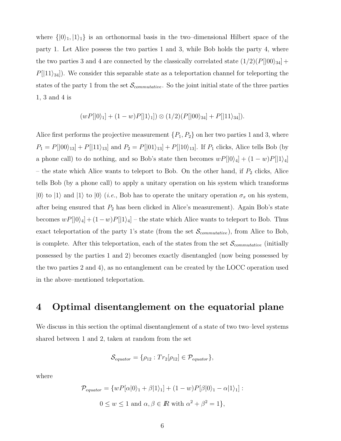where  $\{|0\rangle_1, |1\rangle_1\}$  is an orthonormal basis in the two–dimensional Hilbert space of the party 1. Let Alice possess the two parties 1 and 3, while Bob holds the party 4, where the two parties 3 and 4 are connected by the classically correlated state  $(1/2)(P[|00\rangle_{34}] +$  $P[|11\rangle_{34}]$ . We consider this separable state as a teleportation channel for teleporting the states of the party 1 from the set  $\mathcal{S}_{commutative}$ . So the joint initial state of the three parties 1, 3 and 4 is

$$
(wP[|0\rangle1] + (1-w)P[|1\rangle1]) \otimes (1/2)(P[|00\rangle34] + P[|11\rangle34]).
$$

Alice first performs the projective measurement  $\{P_1, P_2\}$  on her two parties 1 and 3, where  $P_1 = P[|00\rangle_{13}] + P[|11\rangle_{13}]$  and  $P_2 = P[|01\rangle_{13}] + P[|10\rangle_{13}]$ . If  $P_1$  clicks, Alice tells Bob (by a phone call) to do nothing, and so Bob's state then becomes  $wP[|0\rangle_4] + (1-w)P[|1\rangle_4]$ – the state which Alice wants to teleport to Bob. On the other hand, if  $P_2$  clicks, Alice tells Bob (by a phone call) to apply a unitary operation on his system which transforms  $|0\rangle$  to  $|1\rangle$  and  $|1\rangle$  to  $|0\rangle$  (*i.e.*, Bob has to operate the unitary operation  $\sigma_x$  on his system, after being ensured that  $P_2$  has been clicked in Alice's measurement). Again Bob's state becomes  $wP[|0\rangle_4] + (1-w)P[|1\rangle_4]$  – the state which Alice wants to teleport to Bob. Thus exact teleportation of the party 1's state (from the set  $\mathcal{S}_{commutative}$ ), from Alice to Bob, is complete. After this teleportation, each of the states from the set  $\mathcal{S}_{commutative}$  (initially possessed by the parties 1 and 2) becomes exactly disentangled (now being possessed by the two parties 2 and 4), as no entanglement can be created by the LOCC operation used in the above–mentioned teleportation.

#### 4 Optimal disentanglement on the equatorial plane

We discuss in this section the optimal disentanglement of a state of two two–level systems shared between 1 and 2, taken at random from the set

$$
\mathcal{S}_{equator} = \{ \rho_{12} : Tr_2[\rho_{12}] \in \mathcal{P}_{equator} \},
$$

where

$$
\mathcal{P}_{equator} = \{wP[\alpha|0\rangle_1 + \beta|1\rangle_1] + (1 - w)P[\beta|0\rangle_1 - \alpha|1\rangle_1]:
$$
  

$$
0 \le w \le 1 \text{ and } \alpha, \beta \in \mathbb{R} \text{ with } \alpha^2 + \beta^2 = 1\},
$$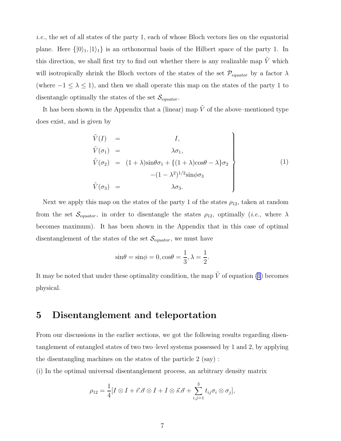*i.e.*, the set of all states of the party 1, each of whose Bloch vectors lies on the equatorial plane. Here  $\{|0\rangle_1, |1\rangle_1\}$  is an orthonormal basis of the Hilbert space of the party 1. In this direction, we shall first try to find out whether there is any realizable map  $\tilde{V}$  which will isotropically shrink the Bloch vectors of the states of the set  $\mathcal{P}_{equator}$  by a factor  $\lambda$ (where  $-1 \leq \lambda \leq 1$ ), and then we shall operate this map on the states of the party 1 to disentangle optimally the states of the set  $\mathcal{S}_{equator}$ .

It has been shown in the Appendix that a (linear) map  $\tilde{V}$  of the above–mentioned type does exist, and is given by

$$
\tilde{V}(I) = I,
$$
\n
$$
\tilde{V}(\sigma_1) = \lambda \sigma_1,
$$
\n
$$
\tilde{V}(\sigma_2) = (1 + \lambda) \sin \theta \sigma_1 + \{(1 + \lambda) \cos \theta - \lambda \} \sigma_2
$$
\n
$$
-(1 - \lambda^2)^{1/2} \sin \phi \sigma_3
$$
\n
$$
\tilde{V}(\sigma_3) = \lambda \sigma_3.
$$
\n(1)

Next we apply this map on the states of the party 1 of the states  $\rho_{12}$ , taken at random from the set  $\mathcal{S}_{equator}$ , in order to disentangle the states  $\rho_{12}$ , optimally (*i.e.*, where  $\lambda$ becomes maximum). It has been shown in the Appendix that in this case of optimal disentanglement of the states of the set  $\mathcal{S}_{equator}$ , we must have

$$
\sin \theta = \sin \phi = 0, \cos \theta = \frac{1}{3}, \lambda = \frac{1}{2}.
$$

It may be noted that under these optimality condition, the map  $\tilde{V}$  of equation (1) becomes physical.

#### 5 Disentanglement and teleportation

From our discussions in the earlier sections, we got the following results regarding disentanglement of entangled states of two two–level systems possessed by 1 and 2, by applying the disentangling machines on the states of the particle 2 (say) :

(i) In the optimal universal disentanglement process, an arbitrary density matrix

$$
\rho_{12} = \frac{1}{4} [I \otimes I + \vec{r} \cdot \vec{\sigma} \otimes I + I \otimes \vec{s} \cdot \vec{\sigma} + \sum_{i,j=1}^{3} t_{ij} \sigma_i \otimes \sigma_j],
$$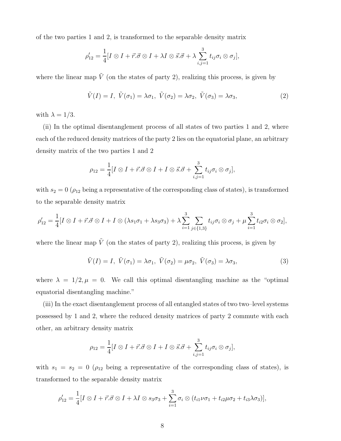<span id="page-7-0"></span>of the two parties 1 and 2, is transformed to the separable density matrix

$$
\rho'_{12} = \frac{1}{4} [I \otimes I + \vec{r} \cdot \vec{\sigma} \otimes I + \lambda I \otimes \vec{s} \cdot \vec{\sigma} + \lambda \sum_{i,j=1}^{3} t_{ij} \sigma_i \otimes \sigma_j],
$$

where the linear map  $\tilde{V}$  (on the states of party 2), realizing this process, is given by

$$
\tilde{V}(I) = I, \ \tilde{V}(\sigma_1) = \lambda \sigma_1, \ \tilde{V}(\sigma_2) = \lambda \sigma_2, \ \tilde{V}(\sigma_3) = \lambda \sigma_3,\tag{2}
$$

with  $\lambda = 1/3$ .

(ii) In the optimal disentanglement process of all states of two parties 1 and 2, where each of the reduced density matrices of the party 2 lies on the equatorial plane, an arbitrary density matrix of the two parties 1 and 2

$$
\rho_{12} = \frac{1}{4} [I \otimes I + \vec{r} \cdot \vec{\sigma} \otimes I + I \otimes \vec{s} \cdot \vec{\sigma} + \sum_{i,j=1}^{3} t_{ij} \sigma_i \otimes \sigma_j],
$$

with  $s_2 = 0$  ( $\rho_{12}$  being a representative of the corresponding class of states), is transformed to the separable density matrix

$$
\rho'_{12} = \frac{1}{4} [I \otimes I + \vec{r} \cdot \vec{\sigma} \otimes I + I \otimes (\lambda s_1 \sigma_1 + \lambda s_3 \sigma_3) + \lambda \sum_{i=1}^3 \sum_{j \in \{1,3\}} t_{ij} \sigma_i \otimes \sigma_j + \mu \sum_{i=1}^3 t_{i2} \sigma_i \otimes \sigma_2],
$$

where the linear map  $\tilde{V}$  (on the states of party 2), realizing this process, is given by

$$
\tilde{V}(I) = I, \ \tilde{V}(\sigma_1) = \lambda \sigma_1, \ \tilde{V}(\sigma_2) = \mu \sigma_2, \ \tilde{V}(\sigma_3) = \lambda \sigma_3,\tag{3}
$$

where  $\lambda = 1/2, \mu = 0$ . We call this optimal disentangling machine as the "optimal" equatorial disentangling machine."

(iii) In the exact disentanglement process of all entangled states of two two–level systems possessed by 1 and 2, where the reduced density matrices of party 2 commute with each other, an arbitrary density matrix

$$
\rho_{12} = \frac{1}{4} [I \otimes I + \vec{r} \cdot \vec{\sigma} \otimes I + I \otimes \vec{s} \cdot \vec{\sigma} + \sum_{i,j=1}^{3} t_{ij} \sigma_i \otimes \sigma_j],
$$

with  $s_1 = s_2 = 0$  ( $\rho_{12}$  being a representative of the corresponding class of states), is transformed to the separable density matrix

$$
\rho'_{12} = \frac{1}{4} [I \otimes I + \vec{r} \cdot \vec{\sigma} \otimes I + \lambda I \otimes s_3 \sigma_3 + \sum_{i=1}^3 \sigma_i \otimes (t_{i1} \nu \sigma_1 + t_{i2} \mu \sigma_2 + t_{i3} \lambda \sigma_3)],
$$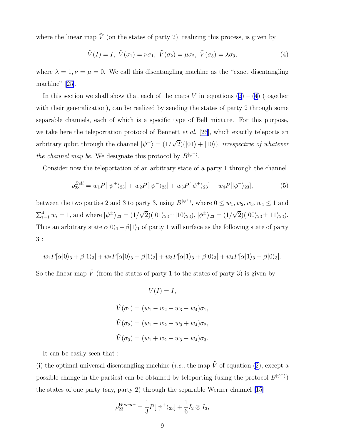<span id="page-8-0"></span>where the linear map  $\tilde{V}$  (on the states of party 2), realizing this process, is given by

$$
\tilde{V}(I) = I, \ \tilde{V}(\sigma_1) = \nu \sigma_1, \ \tilde{V}(\sigma_2) = \mu \sigma_2, \ \tilde{V}(\sigma_3) = \lambda \sigma_3,\tag{4}
$$

where  $\lambda = 1, \nu = \mu = 0$ . We call this disentangling machine as the "exact disentangling" machine"[[25\]](#page-19-0).

In this section we shall show that each of the maps  $\tilde{V}$  in equations [\(2](#page-7-0)) – (4) (together with their generalization), can be realized by sending the states of party 2 through some separable channels, each of which is a specific type of Bell mixture. For this purpose, we take here the teleportation protocol of Bennett *et al*. [\[26](#page-19-0)], which exactly teleports an arbitrary qubit through the channel  $|\psi^+\rangle = (1/\sqrt{2})(|01\rangle + |10\rangle)$ , *irrespective of whatever the channel may be.* We designate this protocol by  $B^{|\psi^+ \rangle}$ .

Consider now the teleportation of an arbitrary state of a party 1 through the channel

$$
\rho_{23}^{Bell} = w_1 P[|\psi^+\rangle_{23}] + w_2 P[|\psi^-\rangle_{23}] + w_3 P[|\phi^+\rangle_{23}] + w_4 P[|\phi^-\rangle_{23}], \tag{5}
$$

between the two parties 2 and 3 to party 3, using  $B^{|\psi^+}\rangle$ , where  $0 \leq w_1, w_2, w_3, w_4 \leq 1$  and  $\sum_{i=1}^{4} w_i = 1$ , and where  $|\psi^{\pm}\rangle_{23} = (1/\sqrt{2})(|01\rangle_{23} \pm |10\rangle_{23})$ ,  $|\phi^{\pm}\rangle_{23} = (1/\sqrt{2})(|00\rangle_{23} \pm |11\rangle_{23})$ . Thus an arbitrary state  $\alpha|0\rangle_1 + \beta|1\rangle_1$  of party 1 will surface as the following state of party 3 :

$$
w_1P[\alpha|0\rangle_3 + \beta|1\rangle_3] + w_2P[\alpha|0\rangle_3 - \beta|1\rangle_3] + w_3P[\alpha|1\rangle_3 + \beta|0\rangle_3] + w_4P[\alpha|1\rangle_3 - \beta|0\rangle_3].
$$

So the linear map  $\tilde{V}$  (from the states of party 1 to the states of party 3) is given by

$$
\tilde{V}(I) = I,
$$
  
\n
$$
\tilde{V}(\sigma_1) = (w_1 - w_2 + w_3 - w_4)\sigma_1,
$$
  
\n
$$
\tilde{V}(\sigma_2) = (w_1 - w_2 - w_3 + w_4)\sigma_2,
$$
  
\n
$$
\tilde{V}(\sigma_3) = (w_1 + w_2 - w_3 - w_4)\sigma_3.
$$

It can be easily seen that :

(i)the optimal universal disentangling machine (*i.e.*, the map  $\tilde{V}$  of equation ([2\)](#page-7-0), except a possible change in the parties) can be obtained by teleporting (using the protocol  $B^{|\psi^+\rangle}$ ) the states of one party (say, party 2) through the separable Werner channel [\[15](#page-18-0)]

$$
\rho_{23}^{Werner} = \frac{1}{3} P[|\psi^{+}\rangle_{23}] + \frac{1}{6} I_2 \otimes I_3,
$$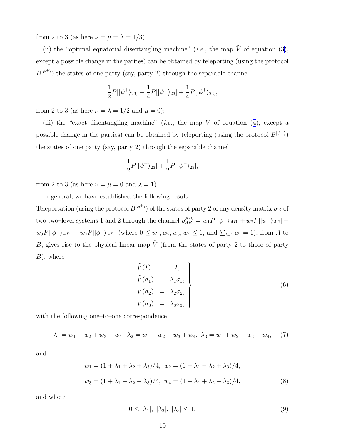from 2 to 3 (as here  $\nu = \mu = \lambda = 1/3$ );

(ii)the "optimal equatorial disentangling machine" (*i.e.*, the map  $\tilde{V}$  of equation ([3\)](#page-7-0), except a possible change in the parties) can be obtained by teleporting (using the protocol  $B^{|\psi^+\rangle}$ ) the states of one party (say, party 2) through the separable channel

$$
\frac{1}{2}P[|\psi^{+}\rangle_{23}] + \frac{1}{4}P[|\psi^{-}\rangle_{23}] + \frac{1}{4}P[|\phi^{+}\rangle_{23}],
$$

from 2 to 3 (as here  $\nu = \lambda = 1/2$  and  $\mu = 0$ );

(iii)the "exact disentangling machine" (*i.e.*, the map  $\tilde{V}$  of equation ([4\)](#page-8-0), except a possible change in the parties) can be obtained by teleporting (using the protocol  $B^{|\psi^+ \rangle}$ ) the states of one party (say, party 2) through the separable channel

$$
\frac{1}{2}P[|\psi^{+}\rangle_{23}]+\frac{1}{2}P[|\psi^{-}\rangle_{23}],
$$

from 2 to 3 (as here  $\nu = \mu = 0$  and  $\lambda = 1$ ).

In general, we have established the following result :

Teleportation (using the protocol  $B^{|\psi^+ \rangle}$ ) of the states of party 2 of any density matrix  $\rho_{12}$  of two two–level systems 1 and 2 through the channel  $\rho_{AB}^{Bell} = w_1 P[|\psi^+\rangle_{AB}] + w_2 P[|\psi^-\rangle_{AB}] +$  $w_3P[\ket{\phi^+}_{AB} + w_4P[\ket{\phi^-}_{AB}]$  (where  $0 \leq w_1, w_2, w_3, w_4 \leq 1$ , and  $\sum_{i=1}^{4} w_i = 1$ ), from A to B, gives rise to the physical linear map  $\tilde{V}$  (from the states of party 2 to those of party  $B$ , where

$$
\begin{aligned}\n\tilde{V}(I) &= I, \\
\tilde{V}(\sigma_1) &= \lambda_1 \sigma_1, \\
\tilde{V}(\sigma_2) &= \lambda_2 \sigma_2, \\
\tilde{V}(\sigma_3) &= \lambda_3 \sigma_3,\n\end{aligned}
$$
\n(6)

with the following one–to–one correspondence :

$$
\lambda_1 = w_1 - w_2 + w_3 - w_4, \ \lambda_2 = w_1 - w_2 - w_3 + w_4, \ \lambda_3 = w_1 + w_2 - w_3 - w_4,\tag{7}
$$

and

$$
w_1 = (1 + \lambda_1 + \lambda_2 + \lambda_3)/4, \ w_2 = (1 - \lambda_1 - \lambda_2 + \lambda_3)/4,
$$
  

$$
w_3 = (1 + \lambda_1 - \lambda_2 - \lambda_3)/4, \ w_4 = (1 - \lambda_1 + \lambda_2 - \lambda_3)/4,
$$
 (8)

and where

$$
0 \le |\lambda_1|, |\lambda_2|, |\lambda_3| \le 1. \tag{9}
$$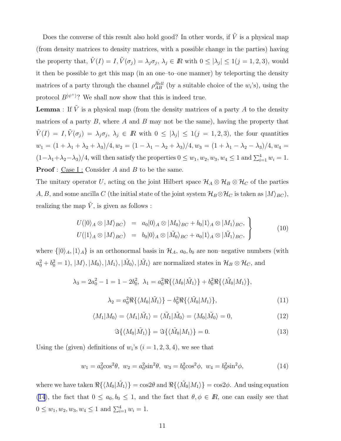<span id="page-10-0"></span>Does the converse of this result also hold good? In other words, if  $\tilde{V}$  is a physical map (from density matrices to density matrices, with a possible change in the parties) having the property that,  $\tilde{V}(I) = I$ ,  $\tilde{V}(\sigma_j) = \lambda_j \sigma_j$ ,  $\lambda_j \in \mathbb{R}$  with  $0 \leq |\lambda_j| \leq 1 (j = 1, 2, 3)$ , would it then be possible to get this map (in an one–to–one manner) by teleporting the density matrices of a party through the channel  $\rho_{AB}^{Bell}$  (by a suitable choice of the  $w_i$ 's), using the protocol  $B^{|\psi^+}\rangle$ ? We shall now show that this is indeed true.

**Lemma** : If  $\tilde{V}$  is a physical map (from the density matrices of a party A to the density matrices of a party  $B$ , where  $A$  and  $B$  may not be the same), having the property that  $\tilde{V}(I) = I, \tilde{V}(\sigma_j) = \lambda_j \sigma_j, \ \lambda_j \in I\!\!R$  with  $0 \leq |\lambda_j| \leq 1 (j = 1, 2, 3)$ , the four quantities  $w_1 = (1 + \lambda_1 + \lambda_2 + \lambda_3)/4, w_2 = (1 - \lambda_1 - \lambda_2 + \lambda_3)/4, w_3 = (1 + \lambda_1 - \lambda_2 - \lambda_3)/4, w_4 =$  $(1-\lambda_1+\lambda_2-\lambda_3)/4$ , will then satisfy the properties  $0 \leq w_1, w_2, w_3, w_4 \leq 1$  and  $\sum_{i=1}^4 w_i = 1$ . **Proof** : <u>Case I :</u> Consider A and B to be the same.

The unitary operator U, acting on the joint Hilbert space  $\mathcal{H}_A \otimes \mathcal{H}_B \otimes \mathcal{H}_C$  of the parties A, B, and some ancilla C (the initial state of the joint system  $\mathcal{H}_B \otimes \mathcal{H}_C$  is taken as  $|M\rangle_{BC}$ ), realizing the map  $\tilde{V}$ , is given as follows :

$$
U(|0\rangle_A \otimes |M\rangle_{BC}) = a_0|0\rangle_A \otimes |M_0\rangle_{BC} + b_0|1\rangle_A \otimes |M_1\rangle_{BC},
$$
  

$$
U(|1\rangle_A \otimes |M\rangle_{BC}) = b_0|0\rangle_A \otimes |\tilde{M}_0\rangle_{BC} + a_0|1\rangle_A \otimes |\tilde{M}_1\rangle_{BC},
$$
 (10)

where  $\{|0\rangle_A, |1\rangle_A\}$  is an orthonormal basis in  $\mathcal{H}_A$ ,  $a_0, b_0$  are non-negative numbers (with  $a_0^2 + b_0^2 = 1$ ,  $|M\rangle$ ,  $|M_0\rangle$ ,  $|M_1\rangle$ ,  $|\tilde{M}_0\rangle$ ,  $|\tilde{M}_1\rangle$  are normalized states in  $\mathcal{H}_B \otimes \mathcal{H}_C$ , and

$$
\lambda_3 = 2a_0^2 - 1 = 1 - 2b_0^2, \ \lambda_1 = a_0^2 \Re\{\langle M_0 | \tilde{M}_1 \rangle\} + b_0^2 \Re\{\langle \tilde{M}_0 | M_1 \rangle\},
$$

$$
\lambda_2 = a_0^2 \Re\{\langle M_0 | \tilde{M}_1 \rangle\} - b_0^2 \Re\{\langle \tilde{M}_0 | M_1 \rangle\}, \tag{11}
$$

$$
\langle M_1 | M_0 \rangle = \langle M_1 | \tilde{M}_1 \rangle = \langle \tilde{M}_1 | \tilde{M}_0 \rangle = \langle M_0 | \tilde{M}_0 \rangle = 0, \tag{12}
$$

$$
\Im\{\langle M_0|\tilde{M}_1\rangle\} = \Im\{\langle \tilde{M}_0|M_1\rangle\} = 0.
$$
\n(13)

Using the (given) definitions of  $w_i$ 's  $(i = 1, 2, 3, 4)$ , we see that

$$
w_1 = a_0^2 \cos^2 \theta, \ w_2 = a_0^2 \sin^2 \theta, \ w_3 = b_0^2 \cos^2 \phi, \ w_4 = b_0^2 \sin^2 \phi,
$$
 (14)

where we have taken  $\Re{\{\langle M_0 | \tilde{M}_1 \rangle\}} = \cos 2\theta$  and  $\Re{\{\langle \tilde{M}_0 | M_1 \rangle\}} = \cos 2\phi$ . And using equation (14), the fact that  $0 \le a_0, b_0 \le 1$ , and the fact that  $\theta, \phi \in \mathbb{R}$ , one can easily see that  $0 \leq w_1, w_2, w_3, w_4 \leq 1$  and  $\sum_{i=1}^4 w_i = 1$ .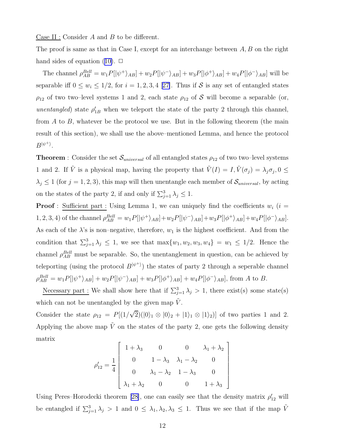<u>Case II :</u> Consider  $A$  and  $B$  to be different.

The proof is same as that in Case I, except for an interchange between  $A, B$  on the right handsides of equation ([10\)](#page-10-0).  $\Box$ 

The channel  $\rho_{AB}^{Bell} = w_1 P[|\psi^+\rangle_{AB}] + w_2 P[|\psi^-\rangle_{AB}] + w_3 P[|\phi^+\rangle_{AB}] + w_4 P[|\phi^-\rangle_{AB}]$  will be separableiff  $0 \leq w_i \leq 1/2$ , for  $i = 1, 2, 3, 4$  [[27\]](#page-19-0). Thus if S is any set of entangled states  $\rho_{12}$  of two two–level systems 1 and 2, each state  $\rho_{12}$  of S will become a separable (or, *unentangled*) state  $\rho'_{1B}$  when we teleport the state of the party 2 through this channel, from  $A$  to  $B$ , whatever be the protocol we use. But in the following theorem (the main result of this section), we shall use the above–mentioned Lemma, and hence the protocol  $B^{|\psi^+\rangle}$ .

**Theorem** : Consider the set  $\mathcal{S}_{universal}$  of all entangled states  $\rho_{12}$  of two two–level systems 1 and 2. If  $\tilde{V}$  is a physical map, having the property that  $\tilde{V}(I) = I, \tilde{V}(\sigma_j) = \lambda_j \sigma_j, 0 \leq$  $\lambda_j \leq 1$  (for  $j = 1, 2, 3$ ), this map will then unentangle each member of  $\mathcal{S}_{universal}$ , by acting on the states of the party 2, if and only if  $\sum_{j=1}^{3} \lambda_j \leq 1$ .

**Proof**: Sufficient part : Using Lemma 1, we can uniquely find the coefficients  $w_i$  ( $i =$ 1, 2, 3, 4) of the channel  $\rho_{AB}^{Bell} = w_1 P[|\psi^+\rangle_{AB}] + w_2 P[|\psi^-\rangle_{AB}] + w_3 P[|\phi^+\rangle_{AB}] + w_4 P[|\phi^-\rangle_{AB}]$ . As each of the  $\lambda$ 's is non-negative, therefore,  $w_1$  is the highest coefficient. And from the condition that  $\sum_{j=1}^3 \lambda_j \leq 1$ , we see that  $\max\{w_1, w_2, w_3, w_4\} = w_1 \leq 1/2$ . Hence the channel  $\rho_{AB}^{Bell}$  must be separable. So, the unentanglement in question, can be achieved by teleporting (using the protocol  $B^{|\psi^+ \rangle}$ ) the states of party 2 through a seperable channel  $\rho_{AB}^{Bell} = w_1 P[|\psi^+\rangle_{AB}] + w_2 P[|\psi^-\rangle_{AB}] + w_3 P[|\phi^+\rangle_{AB}] + w_4 P[|\phi^-\rangle_{AB}]$ , from A to B.

Necessary part : We shall show here that if  $\sum_{j=1}^{3} \lambda_j > 1$ , there exist(s) some state(s) which can not be unentangled by the given map  $V$ .

Consider the state  $\rho_{12} = P[(1/\sqrt{2})(|0\rangle_1 \otimes |0\rangle_2 + |1\rangle_1 \otimes |1\rangle_2)]$  of two parties 1 and 2. Applying the above map  $\tilde{V}$  on the states of the party 2, one gets the following density matrix

$$
\rho'_{12} = \frac{1}{4} \begin{bmatrix} 1 + \lambda_3 & 0 & 0 & \lambda_1 + \lambda_2 \\ 0 & 1 - \lambda_3 & \lambda_1 - \lambda_2 & 0 \\ 0 & \lambda_1 - \lambda_2 & 1 - \lambda_3 & 0 \\ \lambda_1 + \lambda_2 & 0 & 0 & 1 + \lambda_3 \end{bmatrix}
$$

Using Peres–Horodecki theorem [\[28\]](#page-19-0), one can easily see that the density matrix  $\rho'_{12}$  will be entangled if  $\sum_{j=1}^{3} \lambda_j > 1$  and  $0 \leq \lambda_1, \lambda_2, \lambda_3 \leq 1$ . Thus we see that if the map  $\tilde{V}$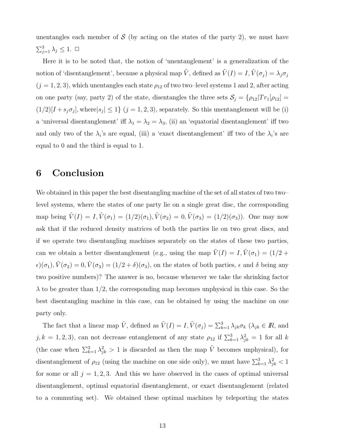unentangles each member of  $\mathcal S$  (by acting on the states of the party 2), we must have  $\sum_{j=1}^3 \lambda_j \leq 1. \ \Box$ 

Here it is to be noted that, the notion of 'unentanglement' is a generalization of the notion of 'disentanglement', because a physical map  $\tilde{V}$ , defined as  $\tilde{V}(I) = I$ ,  $\tilde{V}(\sigma_j) = \lambda_j \sigma_j$  $(j = 1, 2, 3)$ , which unentangles each state  $\rho_{12}$  of two two–level systems 1 and 2, after acting on one party (say, party 2) of the state, disentangles the three sets  $S_j = {\rho_{12}|Tr_1[\rho_{12}]}$  $(1/2)[I + s_j \sigma_j]$ , where  $|s_j| \leq 1$   $(j = 1, 2, 3)$ , separately. So this unentanglement will be (i) a 'universal disentanglement' iff  $\lambda_1 = \lambda_2 = \lambda_3$ , (ii) an 'equatorial disentanglement' iff two and only two of the  $\lambda_i$ 's are equal, (iii) a 'exact disentanglement' iff two of the  $\lambda_i$ 's are equal to 0 and the third is equal to 1.

## 6 Conclusion

We obtained in this paper the best disentangling machine of the set of all states of two two– level systems, where the states of one party lie on a single great disc, the corresponding map being  $\tilde{V}(I) = I, \tilde{V}(\sigma_1) = (1/2)(\sigma_1), \tilde{V}(\sigma_2) = 0, \tilde{V}(\sigma_3) = (1/2)(\sigma_3)$ . One may now ask that if the reduced density matrices of both the parties lie on two great discs, and if we operate two disentangling machines separately on the states of these two parties, can we obtain a better disentanglement (e.g., using the map  $\tilde{V}(I) = I, \tilde{V}(\sigma_1) = (1/2 +$  $\epsilon)(\sigma_1), \tilde{V}(\sigma_2) = 0, \tilde{V}(\sigma_3) = (1/2 + \delta)(\sigma_3)$ , on the states of both parties,  $\epsilon$  and  $\delta$  being any two positive numbers)? The answer is no, because whenever we take the shrinking factor  $\lambda$  to be greater than 1/2, the corresponding map becomes unphysical in this case. So the best disentangling machine in this case, can be obtained by using the machine on one party only.

The fact that a linear map  $\tilde{V}$ , defined as  $\tilde{V}(I) = I$ ,  $\tilde{V}(\sigma_j) = \sum_{k=1}^3 \lambda_{jk} \sigma_k$  ( $\lambda_{jk} \in I\!R$ , and  $j, k = 1, 2, 3$ , can not decrease entanglement of any state  $\rho_{12}$  if  $\sum_{k=1}^{3} \lambda_{jk}^2 = 1$  for all k (the case when  $\sum_{k=1}^{3} \lambda_{jk}^2 > 1$  is discarded as then the map  $\tilde{V}$  becomes unphysical), for disentanglement of  $\rho_{12}$  (using the machine on one side only), we must have  $\sum_{k=1}^{3} \lambda_{jk}^2 < 1$ for some or all  $j = 1, 2, 3$ . And this we have observed in the cases of optimal universal disentanglement, optimal equatorial disentanglement, or exact disentanglement (related to a commuting set). We obtained these optimal machines by teleporting the states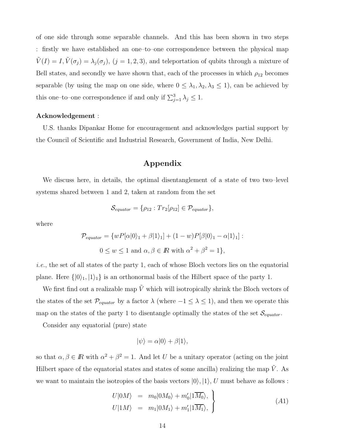of one side through some separable channels. And this has been shown in two steps : firstly we have established an one–to–one correspondence between the physical map  $\tilde{V}(I) = I, \tilde{V}(\sigma_j) = \lambda_j(\sigma_j), (j = 1, 2, 3)$ , and teleportation of qubits through a mixture of Bell states, and secondly we have shown that, each of the processes in which  $\rho_{12}$  becomes separable (by using the map on one side, where  $0 \leq \lambda_1, \lambda_2, \lambda_3 \leq 1$ ), can be achieved by this one–to–one correspondence if and only if  $\sum_{j=1}^{3} \lambda_j \leq 1$ .

#### Acknowledgement :

U.S. thanks Dipankar Home for encouragement and acknowledges partial support by the Council of Scientific and Industrial Research, Government of India, New Delhi.

#### Appendix

We discuss here, in details, the optimal disentanglement of a state of two two–level systems shared between 1 and 2, taken at random from the set

$$
\mathcal{S}_{equator} = \{ \rho_{12} : Tr_2[\rho_{12}] \in \mathcal{P}_{equator} \},
$$

where

$$
\mathcal{P}_{equator} = \{wP[\alpha|0\rangle_1 + \beta|1\rangle_1] + (1 - w)P[\beta|0\rangle_1 - \alpha|1\rangle_1]:
$$
  

$$
0 \le w \le 1 \text{ and } \alpha, \beta \in \mathbb{R} \text{ with } \alpha^2 + \beta^2 = 1\},
$$

*i.e.*, the set of all states of the party 1, each of whose Bloch vectors lies on the equatorial plane. Here  $\{|0\rangle_1, |1\rangle_1\}$  is an orthonormal basis of the Hilbert space of the party 1.

We first find out a realizable map  $\tilde{V}$  which will isotropically shrink the Bloch vectors of the states of the set  $\mathcal{P}_{equator}$  by a factor  $\lambda$  (where  $-1 \leq \lambda \leq 1$ ), and then we operate this map on the states of the party 1 to disentangle optimally the states of the set  $\mathcal{S}_{equator}$ .

Consider any equatorial (pure) state

$$
|\psi\rangle = \alpha|0\rangle + \beta|1\rangle,
$$

so that  $\alpha, \beta \in \mathbb{R}$  with  $\alpha^2 + \beta^2 = 1$ . And let U be a unitary operator (acting on the joint Hilbert space of the equatorial states and states of some ancilla) realizing the map  $\tilde{V}$ . As we want to maintain the isotropies of the basis vectors  $|0\rangle, |1\rangle, U$  must behave as follows:

$$
U|0M\rangle = m_0|0M_0\rangle + m'_0|1\overline{M_0}\rangle, U|1M\rangle = m_1|0M_1\rangle + m'_1|1\overline{M_1}\rangle, \qquad (A1)
$$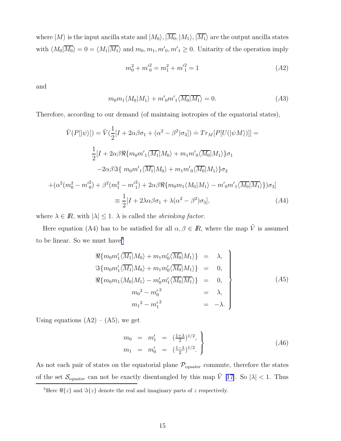where  $|M\rangle$  is the input ancilla state and  $|M_0\rangle$ ,  $|\overline{M_0}, |M_1\rangle$ ,  $|\overline{M_1}\rangle$  are the output ancilla states with  $\langle M_0 | \overline{M_0} \rangle = 0 = \langle M_1 | \overline{M_1} \rangle$  and  $m_0, m_1, m'_0, m'_1 \ge 0$ . Unitarity of the operation imply

$$
m_0^2 + m_0'^2 = m_1^2 + m_1'^2 = 1
$$
\n<sup>(A2)</sup>

and

$$
m_0 m_1 \langle M_0 | M_1 \rangle + m'_0 m'_1 \langle \overline{M_0} | \overline{M_1} \rangle = 0. \tag{A3}
$$

Therefore, according to our demand (of maintaing isotropies of the equatorial states),

$$
\tilde{V}(P[|\psi\rangle]) = \tilde{V}(\frac{1}{2}[I + 2\alpha\beta\sigma_1 + (\alpha^2 - \beta^2)\sigma_3]) \doteq Tr_M[P[U(|\psi M\rangle)]] =
$$
\n
$$
\frac{1}{2}[I + 2\alpha\beta\Re\{m_0m_1'\overline{M_1}|M_0\rangle + m_1m_0'\overline{M_0}|M_1\rangle\}\sigma_1
$$
\n
$$
-2\alpha\beta\Im\{m_0m_1'\overline{M_1}|M_0\rangle + m_1m_0'\overline{M_0}|M_1\rangle\}\sigma_2
$$
\n
$$
+(\alpha^2(m_0^2 - m_0'^2) + \beta^2(m_1^2 - m_1'^2) + 2\alpha\beta\Re\{m_0m_1\langle M_0|M_1\rangle - m_0'm_1'\overline{M_0}|M_1\rangle\})\sigma_3]
$$
\n
$$
\equiv \frac{1}{2}[I + 2\lambda\alpha\beta\sigma_1 + \lambda(\alpha^2 - \beta^2)\sigma_3],\tag{A4}
$$

where  $\lambda \in \mathbb{R}$ , with  $|\lambda| \leq 1$ .  $\lambda$  is called the *shrinking factor*.

Here equation (A4) has to be satisfied for all  $\alpha, \beta \in \mathbb{R}$ , where the map  $\tilde{V}$  is assumed to be linear. So we must have<br>  $\rm$ 

$$
\mathcal{R}\{m_0 m_1' \langle \overline{M_1} | M_0 \rangle + m_1 m_0' \langle \overline{M_0} | M_1 \rangle \} = \lambda,
$$
  
\n
$$
\mathcal{R}\{m_0 m_1' \langle \overline{M_1} | M_0 \rangle + m_1 m_0' \langle \overline{M_0} | M_1 \rangle \} = 0,
$$
  
\n
$$
\mathcal{R}\{m_0 m_1 \langle M_0 | M_1 \rangle - m_0' m_1' \langle \overline{M_0} | \overline{M_1} \rangle \} = 0,
$$
  
\n
$$
m_0^2 - m_0'^2 = \lambda,
$$
  
\n
$$
m_1^2 - m_1'^2 = -\lambda.
$$
\n(A5)

Using equations  $(A2) - (A5)$ , we get

$$
m_0 = m'_1 = \left(\frac{1+\lambda}{2}\right)^{1/2},
$$
  
\n
$$
m_1 = m'_0 = \left(\frac{1-\lambda}{2}\right)^{1/2}.
$$
\n(A6)

As not each pair of states on the equatorial plane  $\mathcal{P}_{equator}$  commute, therefore the states of the set  $\mathcal{S}_{equator}$  can not be exactly disentangled by this map  $\tilde{V}$  [\[17\]](#page-18-0). So  $|\lambda| < 1$ . Thus

<sup>&</sup>lt;sup>5</sup>Here  $\Re\{z\}$  and  $\Im\{z\}$  denote the real and imaginary parts of z respectively.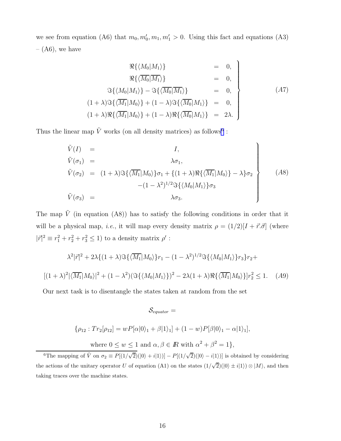we see from equation (A6) that  $m_0, m'_0, m_1, m'_1 > 0$ . Using this fact and equations (A3) –  $(A6)$ , we have

$$
\mathcal{R}\{\langle M_0|M_1\rangle\} = 0,
$$
  
\n
$$
\mathcal{R}\{\langle \overline{M_0}|M_1\rangle\} = 0,
$$
  
\n
$$
\mathcal{S}\{\langle M_0|M_1\rangle\} - \mathcal{S}\{\langle \overline{M_0}|M_1\rangle\} = 0,
$$
  
\n
$$
(1+\lambda)\mathcal{S}\{\langle \overline{M_1}|M_0\rangle\} + (1-\lambda)\mathcal{S}\{\langle \overline{M_0}|M_1\rangle\} = 0,
$$
  
\n
$$
(1+\lambda)\mathcal{R}\{\langle \overline{M_1}|M_0\rangle\} + (1-\lambda)\mathcal{R}\{\langle \overline{M_0}|M_1\rangle\} = 2\lambda.
$$
\n
$$
(A7)
$$

Thus the linear map  $\tilde{V}$  works (on all density matrices) as follows<sup>6</sup>:

$$
\tilde{V}(I) = I,
$$
\n
$$
\tilde{V}(\sigma_1) = \lambda \sigma_1,
$$
\n
$$
\tilde{V}(\sigma_2) = (1 + \lambda) \Im{\{\langle \overline{M_1} | M_0 \rangle\}} \sigma_1 + \{(1 + \lambda) \Re{\langle \overline{M_1} | M_0 \rangle}\} - \lambda \sigma_2
$$
\n
$$
-(1 - \lambda^2)^{1/2} \Im{\{\langle M_0 | M_1 \rangle\}} \sigma_3
$$
\n
$$
\tilde{V}(\sigma_3) = \lambda \sigma_3.
$$
\n(A8)

The map  $\tilde{V}$  (in equation (A8)) has to satisfy the following conditions in order that it will be a physical map, *i.e.*, it will map every density matrix  $\rho = (1/2)[I + \vec{r} \cdot \vec{\sigma}]$  (where  $|\vec{r}|^2 \equiv r_1^2 + r_2^2 + r_3^2 \le 1$ ) to a density matrix  $\rho'$ :

$$
\lambda^{2}|\vec{r}|^{2} + 2\lambda \{ (1+\lambda)\Im\{\langle \overline{M_{1}}|M_{0}\rangle\} r_{1} - (1-\lambda^{2})^{1/2} \Im\{\langle M_{0}|M_{1}\rangle\} r_{3}\} r_{2} +
$$
  

$$
[(1+\lambda)^{2}|\langle \overline{M_{1}}|M_{0}\rangle|^{2} + (1-\lambda^{2})(\Im\{\langle M_{0}|M_{1}\rangle\})^{2} - 2\lambda(1+\lambda)\Re\{\langle \overline{M_{1}}|M_{0}\rangle\} r_{2}^{2} \leq 1.
$$
 (A9)

Our next task is to disentangle the states taken at random from the set

$$
\mathcal{S}_{equator} =
$$
  

$$
\{\rho_{12} : Tr_2[\rho_{12}] = wP[\alpha|0\rangle_1 + \beta|1\rangle_1] + (1-w)P[\beta|0\rangle_1 - \alpha|1\rangle_1],
$$
  
where  $0 \le w \le 1$  and  $\alpha, \beta \in \mathbb{R}$  with  $\alpha^2 + \beta^2 = 1\}$ ,

<sup>6</sup>The mapping of  $\tilde{V}$  on  $\sigma_2 \equiv P[(1/\sqrt{2})(0) + i(1))] - P[(1/\sqrt{2})(0) - i(1))]$  is obtained by considering the actions of the unitary operator U of equation (A1) on the states  $(1/\sqrt{2})(\ket{0} \pm i\ket{1}) \otimes \ket{M}$ , and then taking traces over the machine states.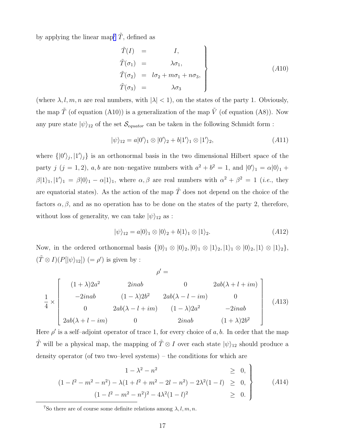by applying the linear map<sup>7</sup>  $\tilde{T}$ , defined as

$$
\tilde{T}(I) = I,\n\tilde{T}(\sigma_1) = \lambda \sigma_1,\n\tilde{T}(\sigma_2) = l\sigma_2 + m\sigma_1 + n\sigma_3,\n\tilde{T}(\sigma_3) = \lambda \sigma_3
$$
\n(A10)

(where  $\lambda, l, m, n$  are real numbers, with  $|\lambda| < 1$ ), on the states of the party 1. Obviously, the map  $\tilde{T}$  (of equation (A10)) is a generalization of the map  $\tilde{V}$  (of equation (A8)). Now any pure state  $|\psi\rangle_{12}$  of the set  $\mathcal{S}_{equator}$  can be taken in the following Schmidt form :

$$
|\psi\rangle_{12} = a|0'\rangle_1 \otimes |0'\rangle_2 + b|1'\rangle_1 \otimes |1'\rangle_2, \qquad (A11)
$$

where  $\{|0'\rangle_j, |1'\rangle_j\}$  is an orthonormal basis in the two dimensional Hilbert space of the party j  $(j = 1, 2)$ , a, b are non-negative numbers with  $a^2 + b^2 = 1$ , and  $|0'\rangle_1 = \alpha|0\rangle_1 +$  $\beta|1\rangle_1, |1'\rangle_1 = \beta|0\rangle_1 - \alpha|1\rangle_1$ , where  $\alpha, \beta$  are real numbers with  $\alpha^2 + \beta^2 = 1$  (*i.e.*, they are equatorial states). As the action of the map  $\tilde{T}$  does not depend on the choice of the factors  $\alpha, \beta$ , and as no operation has to be done on the states of the party 2, therefore, without loss of generality, we can take  $|\psi\rangle_{12}$  as :

$$
|\psi\rangle_{12} = a|0\rangle_1 \otimes |0\rangle_2 + b|1\rangle_1 \otimes |1\rangle_2.
$$
 (A12)

Now, in the ordered orthonormal basis  $\{|0\rangle_1 \otimes |0\rangle_2, |0\rangle_1 \otimes |1\rangle_2, |1\rangle_1 \otimes |0\rangle_2, |1\rangle \otimes |1\rangle_2\},\$  $(\tilde{T} \otimes I)(P[|\psi\rangle_{12}]) (= \rho')$  is given by :

$$
\rho' =
$$
\n
$$
\frac{1}{4} \times \begin{bmatrix}\n(1+\lambda)2a^2 & 2inab & 0 & 2ab(\lambda + l + im) \\
-2inab & (1-\lambda)2b^2 & 2ab(\lambda - l - im) & 0 \\
0 & 2ab(\lambda - l + im) & (1-\lambda)2a^2 & -2inab \\
2ab(\lambda + l - im) & 0 & 2inab & (1+\lambda)2b^2\n\end{bmatrix}
$$
\n(A13)

Here  $\rho'$  is a self-adjoint operator of trace 1, for every choice of a, b. In order that the map  $\tilde{T}$  will be a physical map, the mapping of  $\tilde{T} \otimes I$  over each state  $|\psi\rangle_{12}$  should produce a density operator (of two two–level systems) – the conditions for which are

$$
\begin{aligned}\n1 - \lambda^2 - n^2 &\geq 0, \\
(1 - l^2 - m^2 - n^2) - \lambda(1 + l^2 + m^2 - 2l - n^2) - 2\lambda^2(1 - l) &\geq 0, \\
(1 - l^2 - m^2 - n^2)^2 - 4\lambda^2(1 - l)^2 &\geq 0.\n\end{aligned}
$$
\n(A14)

<sup>&</sup>lt;sup>7</sup>So there are of course some definite relations among  $\lambda, l, m, n$ .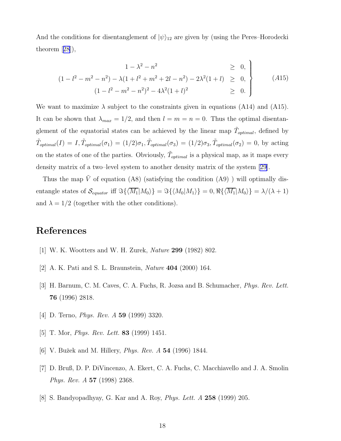<span id="page-17-0"></span>And the conditions for disentanglement of  $|\psi\rangle_{12}$  are given by (using the Peres–Horodecki theorem[[28](#page-19-0)]),

$$
\begin{aligned}\n1 - \lambda^2 - n^2 &\geq 0, \\
(1 - l^2 - m^2 - n^2) - \lambda(1 + l^2 + m^2 + 2l - n^2) - 2\lambda^2(1 + l) &\geq 0, \\
(1 - l^2 - m^2 - n^2)^2 - 4\lambda^2(1 + l)^2 &\geq 0.\n\end{aligned}
$$
\n(A15)

We want to maximize  $\lambda$  subject to the constraints given in equations (A14) and (A15). It can be shown that  $\lambda_{max} = 1/2$ , and then  $l = m = n = 0$ . Thus the optimal disentanglement of the equatorial states can be achieved by the linear map  $\tilde{T}_{optimal}$ , defined by  $\tilde{T}_{optimal}(I) = I, \tilde{T}_{optimal}(\sigma_1) = (1/2)\sigma_1, \tilde{T}_{optimal}(\sigma_3) = (1/2)\sigma_3, \tilde{T}_{optimal}(\sigma_2) = 0$ , by acting on the states of one of the parties. Obviously,  $\tilde{T}_{optimal}$  is a physical map, as it maps every density matrix of a two–level system to another density matrix of the system [\[29\]](#page-19-0).

Thus the map  $\tilde{V}$  of equation (A8) (satisfying the condition (A9)) will optimally disentangle states of  $\mathcal{S}_{equator}$  iff  $\Im{\lbrace \langle \overline{M_1}|M_0 \rangle \rbrace} = \Im{\lbrace \langle M_0|M_1 \rangle \rbrace} = 0, \Re{\lbrace \langle \overline{M_1}|M_0 \rangle \rbrace} = \lambda/(\lambda+1)$ and  $\lambda = 1/2$  (together with the other conditions).

## References

- [1] W. K. Wootters and W. H. Zurek, *Nature* 299 (1982) 802.
- [2] A. K. Pati and S. L. Braunstein, *Nature* 404 (2000) 164.
- [3] H. Barnum, C. M. Caves, C. A. Fuchs, R. Jozsa and B. Schumacher, *Phys. Rev. Lett.* 76 (1996) 2818.
- [4] D. Terno, *Phys. Rev. A* 59 (1999) 3320.
- [5] T. Mor, *Phys. Rev. Lett.* 83 (1999) 1451.
- [6] V. Buˇzek and M. Hillery, *Phys. Rev. A* 54 (1996) 1844.
- [7] D. Bruß, D. P. DiVincenzo, A. Ekert, C. A. Fuchs, C. Macchiavello and J. A. Smolin *Phys. Rev. A* 57 (1998) 2368.
- [8] S. Bandyopadhyay, G. Kar and A. Roy, *Phys. Lett. A* 258 (1999) 205.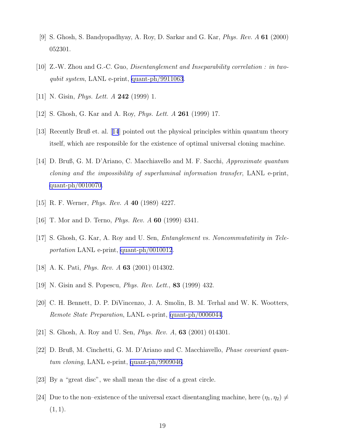- <span id="page-18-0"></span>[9] S. Ghosh, S. Bandyopadhyay, A. Roy, D. Sarkar and G. Kar, *Phys. Rev. A* 61 (2000) 052301.
- [10] Z.-W. Zhou and G.-C. Guo, *Disentanglement and Inseparability correlation : in twoqubit system*, LANL e-print, [quant-ph/9911063](http://arxiv.org/abs/quant-ph/9911063).
- [11] N. Gisin, *Phys. Lett. A* 242 (1999) 1.
- [12] S. Ghosh, G. Kar and A. Roy, *Phys. Lett. A* 261 (1999) 17.
- [13] Recently Bruß et. al. [14] pointed out the physical principles within quantum theory itself, which are responsible for the existence of optimal universal cloning machine.
- [14] D. Bruß, G. M. D'Ariano, C. Macchiavello and M. F. Sacchi, *Approximate quantum cloning and the impossibility of superluminal information transfer*, LANL e-print, [quant-ph/0010070](http://arxiv.org/abs/quant-ph/0010070).
- [15] R. F. Werner, *Phys. Rev. A* 40 (1989) 4227.
- [16] T. Mor and D. Terno, *Phys. Rev. A* 60 (1999) 4341.
- [17] S. Ghosh, G. Kar, A. Roy and U. Sen, *Entanglement vs. Noncommutativity in Teleportation* LANL e-print, [quant-ph/0010012](http://arxiv.org/abs/quant-ph/0010012).
- [18] A. K. Pati, *Phys. Rev. A* 63 (2001) 014302.
- [19] N. Gisin and S. Popescu, *Phys. Rev. Lett.*, 83 (1999) 432.
- [20] C. H. Bennett, D. P. DiVincenzo, J. A. Smolin, B. M. Terhal and W. K. Wootters, *Remote State Preparation*, LANL e-print, [quant-ph/0006044](http://arxiv.org/abs/quant-ph/0006044).
- [21] S. Ghosh, A. Roy and U. Sen, *Phys. Rev. A*, 63 (2001) 014301.
- [22] D. Bruß, M. Cinchetti, G. M. D'Ariano and C. Macchiavello, *Phase covariant quantum cloning*, LANL e-print, [quant-ph/9909046.](http://arxiv.org/abs/quant-ph/9909046)
- [23] By a "great disc", we shall mean the disc of a great circle.
- [24] Due to the non–existence of the universal exact disentangling machine, here  $(\eta_1, \eta_2) \neq$  $(1, 1).$